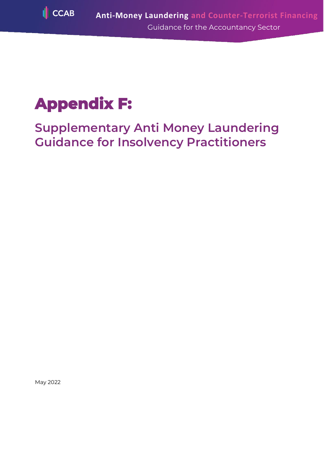

# **Appendix F:**

**Supplementary Anti Money Laundering Guidance for Insolvency Practitioners**

May 2022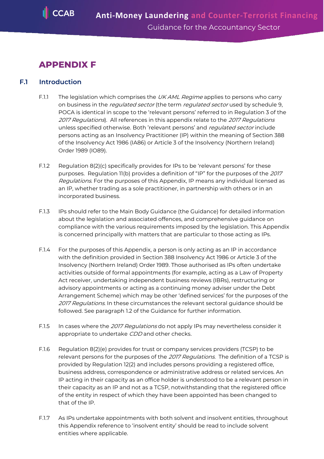# **APPENDIX F**

# **F.1 Introduction**

- F.1.1 The legislation which comprises the  $UKAML$  Regime applies to persons who carry on business in the *regulated sector* (the term *regulated sector* used by schedule 9, POCA is identical in scope to the 'relevant persons' referred to in Regulation 3 of the 2017 Regulations). All references in this appendix relate to the 2017 Regulations unless specified otherwise. Both 'relevant persons' and regulated sector include persons acting as an Insolvency Practitioner (IP) within the meaning of Section 388 of the Insolvency Act 1986 (IA86) or Article 3 of the Insolvency (Northern Ireland) Order 1989 (IO89).
- F.1.2 Regulation 8(2)(c) specifically provides for IPs to be 'relevant persons' for these purposes. Regulation 11(b) provides a definition of "IP" for the purposes of the 2017 Regulations. For the purposes of this Appendix, IP means any individual licensed as an IP, whether trading as a sole practitioner, in partnership with others or in an incorporated business.
- F.1.3 IPs should refer to the Main Body Guidance (the Guidance) for detailed information about the legislation and associated offences, and comprehensive guidance on compliance with the various requirements imposed by the legislation. This Appendix is concerned principally with matters that are particular to those acting as IPs.
- F.1.4 For the purposes of this Appendix, a person is only acting as an IP in accordance with the definition provided in Section 388 Insolvency Act 1986 or Article 3 of the Insolvency (Northern Ireland) Order 1989. Those authorised as IPs often undertake activities outside of formal appointments (for example, acting as a Law of Property Act receiver, undertaking independent business reviews (IBRs), restructuring or advisory appointments or acting as a continuing money adviser under the Debt Arrangement Scheme) which may be other 'defined services' for the purposes of the 2017 Regulations. In these circumstances the relevant sectoral guidance should be followed. See paragraph 1.2 of the Guidance for further information.
- F.1.5 In cases where the 2017 Regulations do not apply IPs may nevertheless consider it appropriate to undertake CDD and other checks.
- F.1.6 Regulation 8(2)(e) provides for trust or company services providers (TCSP) to be relevant persons for the purposes of the 2017 Regulations. The definition of a TCSP is provided by Regulation 12(2) and includes persons providing a registered office, business address, correspondence or administrative address or related services. An IP acting in their capacity as an office holder is understood to be a relevant person in their capacity as an IP and not as a TCSP, notwithstanding that the registered office of the entity in respect of which they have been appointed has been changed to that of the IP.
- F.1.7 As IPs undertake appointments with both solvent and insolvent entities, throughout this Appendix reference to 'insolvent entity' should be read to include solvent entities where applicable.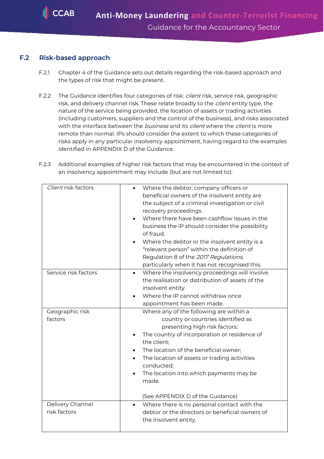#### **F.2 Risk-based approach**

- F.2.1 Chapter 4 of the Guidance sets out details regarding the risk-based approach and the types of risk that might be present.
- F.2.2 The Guidance identifies four categories of risk: *client* risk, service risk, geographic risk, and delivery channel risk. These relate broadly to the *client* entity type, the nature of the service being provided, the location of assets or trading activities (including customers, suppliers and the control of the business), and risks associated with the interface between the *business* and its *client* where the *client* is more remote than normal. IPs should consider the extent to which these categories of risks apply in any particular insolvency appointment, having regard to the examples identified in APPENDIX D of the Guidance.
- F.2.3 Additional examples of higher risk factors that may be encountered in the context of an insolvency appointment may include (but are not limited to):

| Client risk factors              | Where the debtor, company officers or<br>beneficial owners of the insolvent entity are<br>the subject of a criminal investigation or civil<br>recovery proceedings.<br>Where there have been cashflow issues in the<br>business the IP should consider the possibility<br>of fraud.<br>Where the debtor or the insolvent entity is a<br>"relevant person" within the definition of<br>Regulation 8 of the 2017 Regulations,<br>particularly when it has not recognised this. |
|----------------------------------|------------------------------------------------------------------------------------------------------------------------------------------------------------------------------------------------------------------------------------------------------------------------------------------------------------------------------------------------------------------------------------------------------------------------------------------------------------------------------|
| Service risk factors             | Where the insolvency proceedings will involve<br>$\bullet$<br>the realisation or distribution of assets of the<br>insolvent entity.<br>Where the IP cannot withdraw once<br>appointment has been made.                                                                                                                                                                                                                                                                       |
| Geographic risk<br>factors       | Where any of the following are within a<br>country or countries identified as<br>presenting high risk factors:<br>The country of incorporation or residence of<br>the client;<br>The location of the beneficial owner;<br>The location of assets or trading activities<br>conducted;<br>The location into which payments may be<br>$\bullet$<br>made.<br>(See APPENDIX D of the Guidance)                                                                                    |
| Delivery Channel<br>risk factors | Where there is no personal contact with the<br>debtor or the directors or beneficial owners of<br>the insolvent entity.                                                                                                                                                                                                                                                                                                                                                      |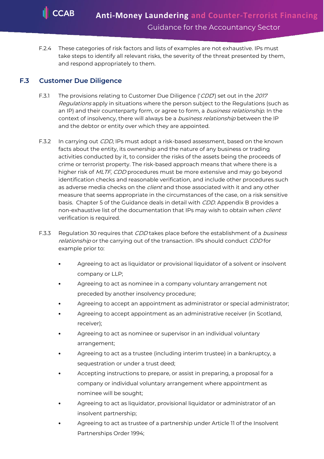F.2.4 These categories of risk factors and lists of examples are not exhaustive. IPs must take steps to identify all relevant risks, the severity of the threat presented by them, and respond appropriately to them.

### **F.3 Customer Due Diligence**

- F.3.1 The provisions relating to Customer Due Diligence ('CDD') set out in the 2017 Regulations apply in situations where the person subject to the Regulations (such as an IP) and their counterparty form, or agree to form, a *business relationship*. In the context of insolvency, there will always be a *business relationship* between the IP and the debtor or entity over which they are appointed.
- F.3.2 In carrying out *CDD*, IPs must adopt a risk-based assessment, based on the known facts about the entity, its ownership and the nature of any business or trading activities conducted by it, to consider the risks of the assets being the proceeds of crime or terrorist property. The risk-based approach means that where there is a higher risk of MLTF, CDD procedures must be more extensive and may go beyond identification checks and reasonable verification, and include other procedures such as adverse media checks on the *client* and those associated with it and any other measure that seems appropriate in the circumstances of the case, on a risk sensitive basis. Chapter 5 of the Guidance deals in detail with CDD. Appendix B provides a non-exhaustive list of the documentation that IPs may wish to obtain when *client* verification is required.
- F.3.3 Regulation 30 reguires that CDD takes place before the establishment of a business relationship or the carrying out of the transaction. IPs should conduct CDD for example prior to:
	- Agreeing to act as liquidator or provisional liquidator of a solvent or insolvent company or LLP;
	- Agreeing to act as nominee in a company voluntary arrangement not preceded by another insolvency procedure;
	- Agreeing to accept an appointment as administrator or special administrator;
	- Agreeing to accept appointment as an administrative receiver (in Scotland, receiver);
	- Agreeing to act as nominee or supervisor in an individual voluntary arrangement;
	- Agreeing to act as a trustee (including interim trustee) in a bankruptcy, a sequestration or under a trust deed;
	- Accepting instructions to prepare, or assist in preparing, a proposal for a company or individual voluntary arrangement where appointment as nominee will be sought;
	- Agreeing to act as liquidator, provisional liquidator or administrator of an insolvent partnership;
	- Agreeing to act as trustee of a partnership under Article 11 of the Insolvent Partnerships Order 1994;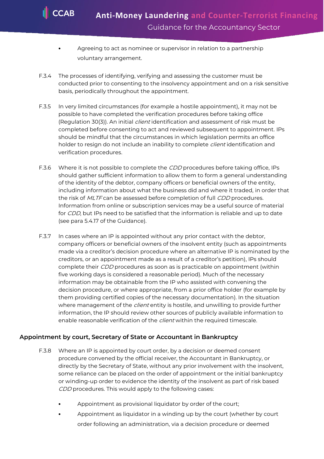- Agreeing to act as nominee or supervisor in relation to a partnership voluntary arrangement.
- F.3.4 The processes of identifying, verifying and assessing the customer must be conducted prior to consenting to the insolvency appointment and on a risk sensitive basis, periodically throughout the appointment.
- F.3.5 In very limited circumstances (for example a hostile appointment), it may not be possible to have completed the verification procedures before taking office (Regulation 30(3)). An initial *client* identification and assessment of risk must be completed before consenting to act and reviewed subsequent to appointment. IPs should be mindful that the circumstances in which legislation permits an office holder to resign do not include an inability to complete *client* identification and verification procedures.
- F.3.6 Where it is not possible to complete the CDD procedures before taking office, IPs should gather sufficient information to allow them to form a general understanding of the identity of the debtor, company officers or beneficial owners of the entity, including information about what the business did and where it traded, in order that the risk of MLTF can be assessed before completion of full CDD procedures. Information from online or subscription services may be a useful source of material for *CDD*, but IPs need to be satisfied that the information is reliable and up to date (see para 5.4.17 of the Guidance).
- F.3.7 In cases where an IP is appointed without any prior contact with the debtor, company officers or beneficial owners of the insolvent entity (such as appointments made via a creditor's decision procedure where an alternative IP is nominated by the creditors, or an appointment made as a result of a creditor's petition), IPs should complete their CDD procedures as soon as is practicable on appointment (within five working days is considered a reasonable period). Much of the necessary information may be obtainable from the IP who assisted with convening the decision procedure, or where appropriate, from a prior office holder (for example by them providing certified copies of the necessary documentation). In the situation where management of the *client* entity is hostile, and unwilling to provide further information, the IP should review other sources of publicly available information to enable reasonable verification of the *client* within the required timescale.

#### **Appointment by court, Secretary of State or Accountant in Bankruptcy**

- F.3.8 Where an IP is appointed by court order, by a decision or deemed consent procedure convened by the official receiver, the Accountant in Bankruptcy, or directly by the Secretary of State, without any prior involvement with the insolvent, some reliance can be placed on the order of appointment or the initial bankruptcy or winding-up order to evidence the identity of the insolvent as part of risk based CDD procedures. This would apply to the following cases:
	- Appointment as provisional liquidator by order of the court;
	- Appointment as liquidator in a winding up by the court (whether by court order following an administration, via a decision procedure or deemed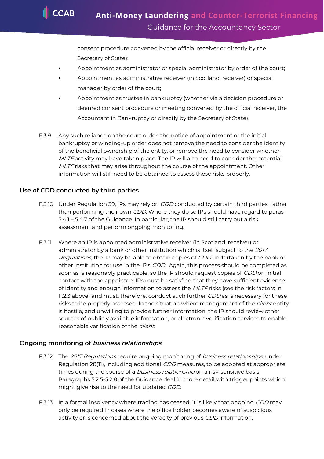consent procedure convened by the official receiver or directly by the Secretary of State);

- Appointment as administrator or special administrator by order of the court;
- Appointment as administrative receiver (in Scotland, receiver) or special manager by order of the court;
- Appointment as trustee in bankruptcy (whether via a decision procedure or deemed consent procedure or meeting convened by the official receiver, the Accountant in Bankruptcy or directly by the Secretary of State).
- F.3.9 Any such reliance on the court order, the notice of appointment or the initial bankruptcy or winding-up order does not remove the need to consider the identity of the beneficial ownership of the entity, or remove the need to consider whether MLTF activity may have taken place. The IP will also need to consider the potential MLTF risks that may arise throughout the course of the appointment. Other information will still need to be obtained to assess these risks properly.

#### **Use of CDD conducted by third parties**

- F.3.10 Under Regulation 39, IPs may rely on *CDD* conducted by certain third parties, rather than performing their own CDD. Where they do so IPs should have regard to paras 5.4.1 – 5.4.7 of the Guidance. In particular, the IP should still carry out a risk assessment and perform ongoing monitoring.
- F.3.11 Where an IP is appointed administrative receiver (in Scotland, receiver) or administrator by a bank or other institution which is itself subject to the 2017 Regulations, the IP may be able to obtain copies of CDD undertaken by the bank or other institution for use in the IP's CDD. Again, this process should be completed as soon as is reasonably practicable, so the IP should request copies of CDD on initial contact with the appointee. IPs must be satisfied that they have sufficient evidence of identity and enough information to assess the MLTF risks (see the risk factors in F.2.3 above) and must, therefore, conduct such further CDD as is necessary for these risks to be properly assessed. In the situation where management of the *client* entity is hostile, and unwilling to provide further information, the IP should review other sources of publicly available information, or electronic verification services to enable reasonable verification of the client.

#### **Ongoing monitoring of business relationships**

- F.3.12 The 2017 Regulations require ongoing monitoring of business relationships, under Regulation 28(11), including additional CDD measures, to be adopted at appropriate times during the course of a *business relationship* on a risk-sensitive basis. Paragraphs 5.2.5-5.2.8 of the Guidance deal in more detail with trigger points which might give rise to the need for updated CDD.
- F.3.13 In a formal insolvency where trading has ceased, it is likely that ongoing CDD may only be required in cases where the office holder becomes aware of suspicious activity or is concerned about the veracity of previous CDD information.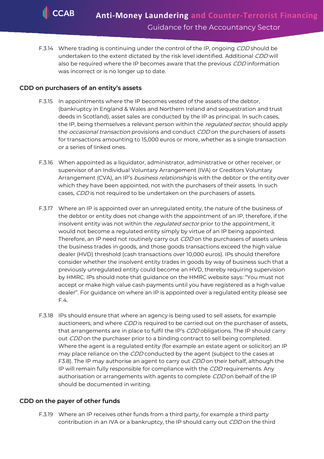F.3.14 Where trading is continuing under the control of the IP, ongoing CDD should be undertaken to the extent dictated by the risk level identified. Additional CDD will also be required where the IP becomes aware that the previous *CDD* information was incorrect or is no longer up to date.

#### **CDD on purchasers of an entity's assets**

- F.3.15 In appointments where the IP becomes vested of the assets of the debtor, (bankruptcy in England & Wales and Northern Ireland and sequestration and trust deeds in Scotland), asset sales are conducted by the IP as principal. In such cases, the IP, being themselves a relevant person within the regulated sector, should apply the *occasional transaction* provisions and conduct CDD on the purchasers of assets for transactions amounting to 15,000 euros or more, whether as a single transaction or a series of linked ones.
- F.3.16 When appointed as a liquidator, administrator, administrative or other receiver, or supervisor of an Individual Voluntary Arrangement (IVA) or Creditors Voluntary Arrangement (CVA), an IP's business relationship is with the debtor or the entity over which they have been appointed, not with the purchasers of their assets. In such cases, CDD is not required to be undertaken on the purchasers of assets.
- F.3.17 Where an IP is appointed over an unregulated entity, the nature of the business of the debtor or entity does not change with the appointment of an IP, therefore, if the insolvent entity was not within the regulated sector prior to the appointment, it would not become a regulated entity simply by virtue of an IP being appointed. Therefore, an IP need not routinely carry out *CDD* on the purchasers of assets unless the business trades in goods, and those goods transactions exceed the high value dealer (HVD) threshold (cash transactions over 10,000 euros). IPs should therefore consider whether the insolvent entity trades in goods by way of business such that a previously unregulated entity could become an HVD, thereby requiring supervision by HMRC. IPs should note that guidance on the HMRC website says: "You must not accept or make high value cash payments until you have registered as a high value dealer". For guidance on where an IP is appointed over a regulated entity please see F.4.
- F.3.18 IPs should ensure that where an agency is being used to sell assets, for example auctioneers, and where *CDD* is required to be carried out on the purchaser of assets, that arrangements are in place to fulfil the IP's CDD obligations. The IP should carry out CDD on the purchaser prior to a binding contract to sell being completed. Where the agent is a regulated entity (for example an estate agent or solicitor) an IP may place reliance on the CDD conducted by the agent (subject to the cases at F3.8). The IP may authorise an agent to carry out *CDD* on their behalf, although the IP will remain fully responsible for compliance with the CDD requirements. Any authorisation or arrangements with agents to complete CDD on behalf of the IP should be documented in writing.

#### **CDD on the payer of other funds**

F.3.19 Where an IP receives other funds from a third party, for example a third party contribution in an IVA or a bankruptcy, the IP should carry out CDD on the third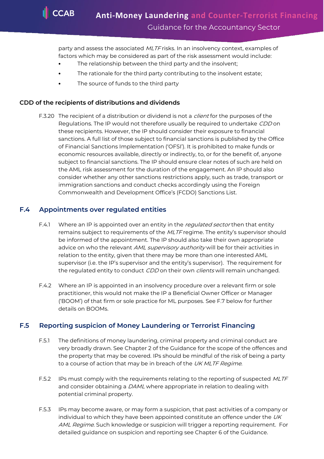party and assess the associated MLTF risks. In an insolvency context, examples of factors which may be considered as part of the risk assessment would include:

- The relationship between the third party and the insolvent;
- The rationale for the third party contributing to the insolvent estate;
- The source of funds to the third party

# **CDD of the recipients of distributions and dividends**

F.3.20 The recipient of a distribution or dividend is not a *client* for the purposes of the Regulations. The IP would not therefore usually be required to undertake *CDD* on these recipients. However, the IP should consider their exposure to financial sanctions. A full list of those subject to financial sanctions is published by the Office of Financial Sanctions Implementation ('OFSI'). It is prohibited to make funds or economic resources available, directly or indirectly, to, or for the benefit of, anyone subject to financial sanctions. The IP should ensure clear notes of such are held on the AML risk assessment for the duration of the engagement. An IP should also consider whether any other sanctions restrictions apply, such as trade, transport or immigration sanctions and conduct checks accordingly using the Foreign Commonwealth and Development Office's (FCDO) Sanctions List.

# **F.4 Appointments over regulated entities**

- F.4.1 Where an IP is appointed over an entity in the *regulated sector* then that entity remains subject to requirements of the MLTF regime. The entity's supervisor should be informed of the appointment. The IP should also take their own appropriate advice on who the relevant AML supervisory authority will be for their activities in relation to the entity, given that there may be more than one interested AML supervisor (i.e. the IP's supervisor and the entity's supervisor). The requirement for the regulated entity to conduct CDD on their own clients will remain unchanged.
- F.4.2 Where an IP is appointed in an insolvency procedure over a relevant firm or sole practitioner, this would not make the IP a Beneficial Owner Officer or Manager ('BOOM') of that firm or sole practice for ML purposes. See F.7 below for further details on BOOMs.

# **F.5 Reporting suspicion of Money Laundering or Terrorist Financing**

- F.5.1 The definitions of money laundering, criminal property and criminal conduct are very broadly drawn. See Chapter 2 of the Guidance for the scope of the offences and the property that may be covered. IPs should be mindful of the risk of being a party to a course of action that may be in breach of the UK MLTF Regime.
- F.5.2 IPs must comply with the requirements relating to the reporting of suspected MLTF and consider obtaining a *DAML* where appropriate in relation to dealing with potential criminal property.
- F.5.3 IPs may become aware, or may form a suspicion, that past activities of a company or individual to which they have been appointed constitute an offence under the  $UK$ AML Regime. Such knowledge or suspicion will trigger a reporting requirement. For detailed guidance on suspicion and reporting see Chapter 6 of the Guidance.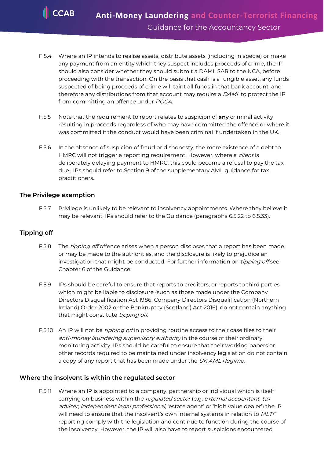**CCAB** 

- F 5.4 Where an IP intends to realise assets, distribute assets (including in specie) or make any payment from an entity which they suspect includes proceeds of crime, the IP should also consider whether they should submit a DAML SAR to the NCA, before proceeding with the transaction. On the basis that cash is a fungible asset, any funds suspected of being proceeds of crime will taint all funds in that bank account, and therefore any distributions from that account may require a DAML to protect the IP from committing an offence under POCA.
- F.5.5 Note that the requirement to report relates to suspicion of any criminal activity resulting in proceeds regardless of who may have committed the offence or where it was committed if the conduct would have been criminal if undertaken in the UK.
- F.5.6 In the absence of suspicion of fraud or dishonesty, the mere existence of a debt to HMRC will not trigger a reporting requirement. However, where a client is deliberately delaying payment to HMRC, this could become a refusal to pay the tax due. IPs should refer to Section 9 of the supplementary AML guidance for tax practitioners.

#### **The Privilege exemption**

F.5.7 Privilege is unlikely to be relevant to insolvency appointments. Where they believe it may be relevant, IPs should refer to the Guidance (paragraphs 6.5.22 to 6.5.33).

#### **Tipping off**

- F.5.8 The *tipping off* offence arises when a person discloses that a report has been made or may be made to the authorities, and the disclosure is likely to prejudice an investigation that might be conducted. For further information on *tipping off* see Chapter 6 of the Guidance.
- F.5.9 IPs should be careful to ensure that reports to creditors, or reports to third parties which might be liable to disclosure (such as those made under the Company Directors Disqualification Act 1986, Company Directors Disqualification (Northern Ireland) Order 2002 or the Bankruptcy (Scotland) Act 2016), do not contain anything that might constitute tipping off.
- F.5.10 An IP will not be *tipping off* in providing routine access to their case files to their anti-money laundering supervisory authority in the course of their ordinary monitoring activity. IPs should be careful to ensure that their working papers or other records required to be maintained under insolvency legislation do not contain a copy of any report that has been made under the UK AML Regime.

#### **Where the insolvent is within the regulated sector**

F.5.11 Where an IP is appointed to a company, partnership or individual which is itself carrying on business within the regulated sector (e.g. external accountant, tax adviser, independent legal professional, 'estate agent' or 'high value dealer') the IP will need to ensure that the insolvent's own internal systems in relation to MLTF reporting comply with the legislation and continue to function during the course of the insolvency. However, the IP will also have to report suspicions encountered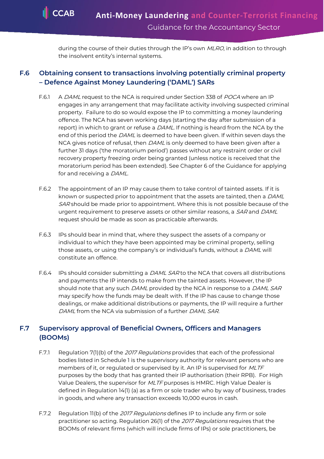during the course of their duties through the IP's own MLRO, in addition to through the insolvent entity's internal systems.

# **F.6 Obtaining consent to transactions involving potentially criminal property – Defence Against Money Laundering ('DAML') SARs**

- F.6.1 A DAML request to the NCA is required under Section 338 of POCA where an IP engages in any arrangement that may facilitate activity involving suspected criminal property. Failure to do so would expose the IP to committing a money laundering offence. The NCA has seven working days (starting the day after submission of a report) in which to grant or refuse a DAML. If nothing is heard from the NCA by the end of this period the DAML is deemed to have been given. If within seven days the NCA gives notice of refusal, then *DAML* is only deemed to have been given after a further 31 days ('the moratorium period') passes without any restraint order or civil recovery property freezing order being granted (unless notice is received that the moratorium period has been extended). See Chapter 6 of the Guidance for applying for and receiving a DAML.
- F.6.2 The appointment of an IP may cause them to take control of tainted assets. If it is known or suspected prior to appointment that the assets are tainted, then a DAML SAR should be made prior to appointment. Where this is not possible because of the urgent requirement to preserve assets or other similar reasons, a SAR and DAML request should be made as soon as practicable afterwards.
- F.6.3 IPs should bear in mind that, where they suspect the assets of a company or individual to which they have been appointed may be criminal property, selling those assets, or using the company's or individual's funds, without a DAML will constitute an offence.
- F.6.4 IPs should consider submitting a *DAML SAR* to the NCA that covers all distributions and payments the IP intends to make from the tainted assets. However, the IP should note that any such DAML provided by the NCA in response to a DAML SAR may specify how the funds may be dealt with. If the IP has cause to change those dealings, or make additional distributions or payments, the IP will require a further DAML from the NCA via submission of a further DAML SAR.

## **F.7 Supervisory approval of Beneficial Owners, Officers and Managers (BOOMs)**

- F.7.1 Regulation 7(1)(b) of the 2017 Regulations provides that each of the professional bodies listed in Schedule 1 is the supervisory authority for relevant persons who are members of it, or regulated or supervised by it. An IP is supervised for MLTF purposes by the body that has granted their IP authorisation (their RPB). For High Value Dealers, the supervisor for MLTF purposes is HMRC. High Value Dealer is defined in Regulation 14(1) (a) as a firm or sole trader who by way of business, trades in goods, and where any transaction exceeds 10,000 euros in cash.
- F.7.2 Regulation 11(b) of the 2017 Regulations defines IP to include any firm or sole practitioner so acting. Regulation 26(1) of the 2017 Regulations requires that the BOOMs of relevant firms (which will include firms of IPs) or sole practitioners, be